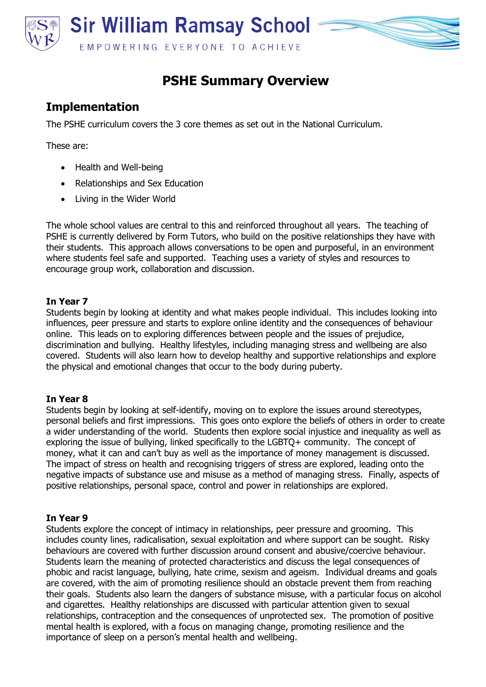

# **PSHE Summary Overview**

# **Implementation**

The PSHE curriculum covers the 3 core themes as set out in the National Curriculum.

These are:

- Health and Well-being
- Relationships and Sex Education
- Living in the Wider World

The whole school values are central to this and reinforced throughout all years. The teaching of PSHE is currently delivered by Form Tutors, who build on the positive relationships they have with their students. This approach allows conversations to be open and purposeful, in an environment where students feel safe and supported. Teaching uses a variety of styles and resources to encourage group work, collaboration and discussion.

### **In Year 7**

Students begin by looking at identity and what makes people individual. This includes looking into influences, peer pressure and starts to explore online identity and the consequences of behaviour online. This leads on to exploring differences between people and the issues of prejudice, discrimination and bullying. Healthy lifestyles, including managing stress and wellbeing are also covered. Students will also learn how to develop healthy and supportive relationships and explore the physical and emotional changes that occur to the body during puberty.

#### **In Year 8**

Students begin by looking at self-identify, moving on to explore the issues around stereotypes, personal beliefs and first impressions. This goes onto explore the beliefs of others in order to create a wider understanding of the world. Students then explore social injustice and inequality as well as exploring the issue of bullying, linked specifically to the LGBTQ+ community. The concept of money, what it can and can't buy as well as the importance of money management is discussed. The impact of stress on health and recognising triggers of stress are explored, leading onto the negative impacts of substance use and misuse as a method of managing stress. Finally, aspects of positive relationships, personal space, control and power in relationships are explored.

#### **In Year 9**

Students explore the concept of intimacy in relationships, peer pressure and grooming. This includes county lines, radicalisation, sexual exploitation and where support can be sought. Risky behaviours are covered with further discussion around consent and abusive/coercive behaviour. Students learn the meaning of protected characteristics and discuss the legal consequences of phobic and racist language, bullying, hate crime, sexism and ageism. Individual dreams and goals are covered, with the aim of promoting resilience should an obstacle prevent them from reaching their goals. Students also learn the dangers of substance misuse, with a particular focus on alcohol and cigarettes. Healthy relationships are discussed with particular attention given to sexual relationships, contraception and the consequences of unprotected sex. The promotion of positive mental health is explored, with a focus on managing change, promoting resilience and the importance of sleep on a person's mental health and wellbeing.